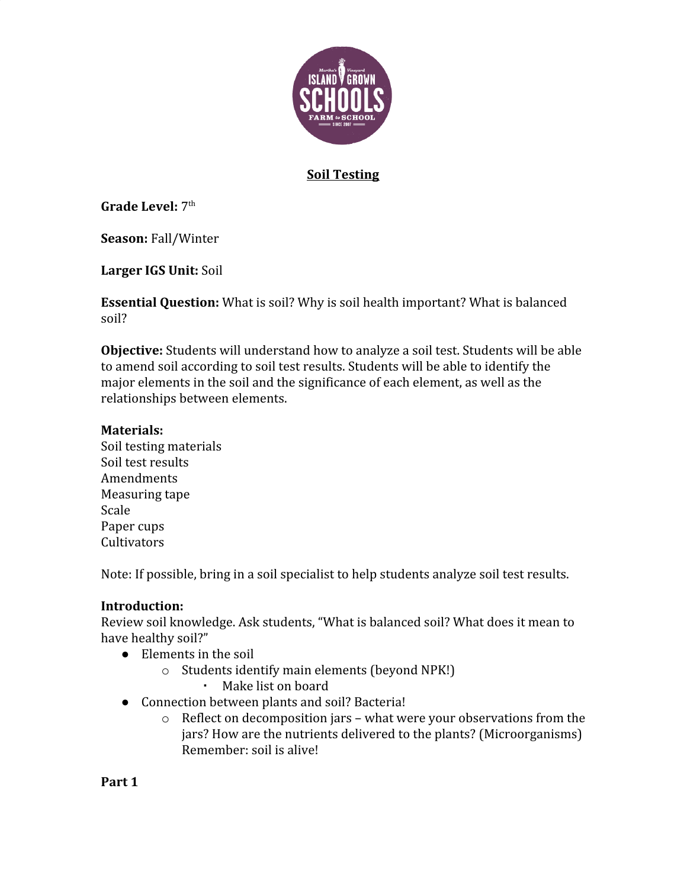

### **Soil Testing**

**Grade Level: 7th** 

**Season:** Fall/Winter

**Larger IGS Unit:** Soil

**Essential Question:** What is soil? Why is soil health important? What is balanced soil?

**Objective:** Students will understand how to analyze a soil test. Students will be able to amend soil according to soil test results. Students will be able to identify the major elements in the soil and the significance of each element, as well as the relationships between elements.

#### **Materials:**

Soil testing materials Soil test results Amendments Measuring tape Scale Paper cups **Cultivators** 

Note: If possible, bring in a soil specialist to help students analyze soil test results.

### **Introduction:**

Review soil knowledge. Ask students, "What is balanced soil? What does it mean to have healthy soil?"

- Elements in the soil
	- o Students identify main elements (beyond NPK!)
		- Make list on board
- Connection between plants and soil? Bacteria!
	- o Reflect on decomposition jars what were your observations from the jars? How are the nutrients delivered to the plants? (Microorganisms) Remember: soil is alive!

**Part 1**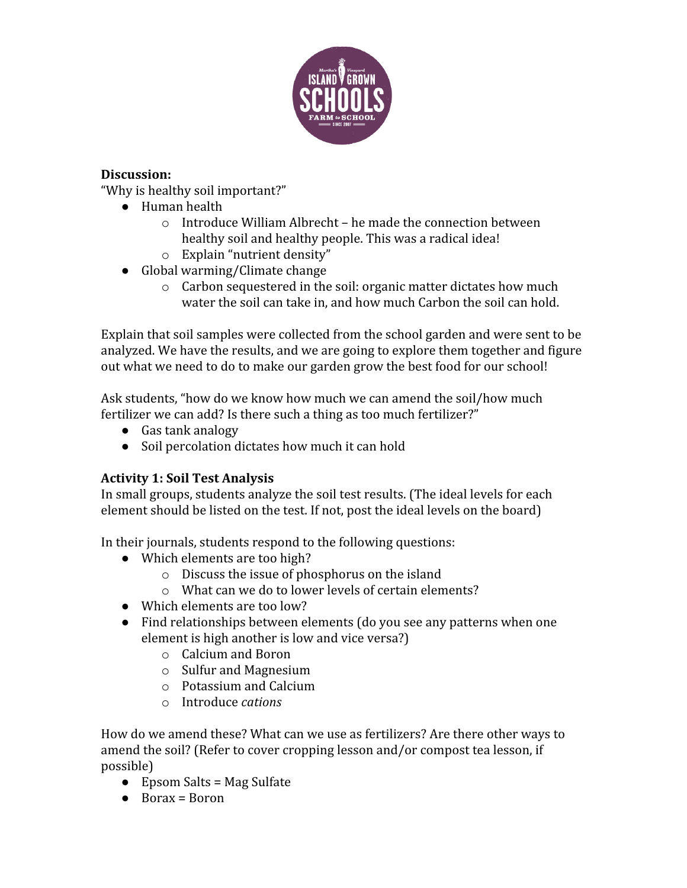

## **Discussion:**

"Why is healthy soil important?"

- Human health
	- o Introduce William Albrecht he made the connection between healthy soil and healthy people. This was a radical idea!
	- o Explain "nutrient density"
- Global warming/Climate change
	- o Carbon sequestered in the soil: organic matter dictates how much water the soil can take in, and how much Carbon the soil can hold.

Explain that soil samples were collected from the school garden and were sent to be analyzed. We have the results, and we are going to explore them together and figure out what we need to do to make our garden grow the best food for our school!

Ask students, "how do we know how much we can amend the soil/how much fertilizer we can add? Is there such a thing as too much fertilizer?"

- Gas tank analogy
- Soil percolation dictates how much it can hold

# **Activity 1: Soil Test Analysis**

In small groups, students analyze the soil test results. (The ideal levels for each element should be listed on the test. If not, post the ideal levels on the board)

In their journals, students respond to the following questions:

- Which elements are too high?
	- o Discuss the issue of phosphorus on the island
	- o What can we do to lower levels of certain elements?
- Which elements are too low?
- Find relationships between elements (do you see any patterns when one element is high another is low and vice versa?)
	- o Calcium and Boron
	- o Sulfur and Magnesium
	- o Potassium and Calcium
	- o Introduce *cations*

How do we amend these? What can we use as fertilizers? Are there other ways to amend the soil? (Refer to cover cropping lesson and/or compost tea lesson, if possible)

- $\bullet$  Epsom Salts = Mag Sulfate
- $\bullet$  Borax = Boron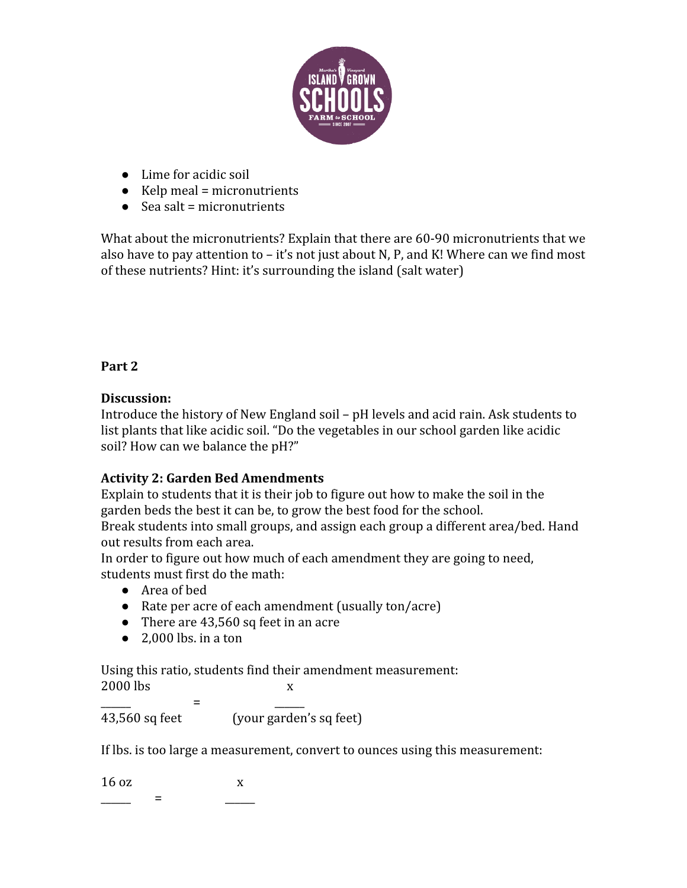

- Lime for acidic soil
- $\bullet$  Kelp meal = micronutrients
- $\bullet$  Sea salt = micronutrients

What about the micronutrients? Explain that there are 60-90 micronutrients that we also have to pay attention to  $-$  it's not just about N, P, and K! Where can we find most of these nutrients? Hint: it's surrounding the island (salt water)

## **Part 2**

### **Discussion:**

Introduce the history of New England soil – pH levels and acid rain. Ask students to list plants that like acidic soil. "Do the vegetables in our school garden like acidic soil? How can we balance the pH?"

# **Activity 2: Garden Bed Amendments**

Explain to students that it is their job to figure out how to make the soil in the garden beds the best it can be, to grow the best food for the school.

Break students into small groups, and assign each group a different area/bed. Hand out results from each area.

In order to figure out how much of each amendment they are going to need, students must first do the math:

- Area of bed
- Rate per acre of each amendment (usually ton/acre)
- There are 43,560 sq feet in an acre
- $\bullet$  2.000 lbs. in a ton

Using this ratio, students find their amendment measurement: 2000 lbs x

\_\_\_\_\_\_ = \_\_\_\_\_\_ 43,560 sq feet (your garden's sq feet)

If lbs. is too large a measurement, convert to ounces using this measurement:

 $16 \text{ oz}$  x \_\_\_\_\_\_ = \_\_\_\_\_\_